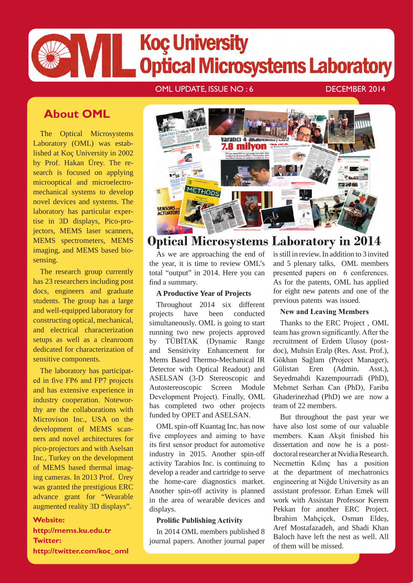# **Koç University Optical Microsystems Laboratory**

#### OML UPDATE, ISSUE NO : 6 DECEMBER 2014

### **About OML**

The Optical Microsystems Laboratory (OML) was established at Koç University in 2002 by Prof. Hakan Ürey. The research is focused on applying microoptical and microelectromechanical systems to develop novel devices and systems. The laboratory has particular expertise in 3D displays, Pico-projectors, MEMS laser scanners, MEMS spectrometers, MEMS imaging, and MEMS based biosensing.

The research group currently has 23 researchers including post docs, engineers and graduate students. The group has a large and well-equipped laboratory for constructing optical, mechanical, and electrical characterization setups as well as a cleanroom dedicated for characterization of sensitive components.

The laboratory has participated in five FP6 and FP7 projects and has extensive experience in industry cooperation. Noteworthy are the collaborations with Microvison Inc., USA on the development of MEMS scanners and novel architectures for pico-projectors and with Aselsan Inc., Turkey on the development of MEMS based thermal imaging cameras. In 2013 Prof. Ürey was granted the prestigious ERC advance grant for "Wearable augmented reality 3D displays".

#### **Website:**

**http://mems.ku.edu.tr Twitter: http://twitter.com/koc\_oml**



### **Optical Microsystems Laboratory in 2014**

As we are approaching the end of the year, it is time to review OML's total "output" in 2014. Here you can find a summary.

#### **A Productive Year of Projects**

Throughout 2014 six different projects have been conducted simultaneously. OML is going to start running two new projects approved by TÜBİTAK (Dynamic Range and Sensitivity Enhancement for Mems Based Thermo-Mechanical IR Detector with Optical Readout) and ASELSAN (3-D Stereoscopic and Autostereoscopic Screen Module Development Project). Finally, OML has completed two other projects funded by OPET and ASELSAN.

OML spin-off Kuantag Inc. has now five employees and aiming to have its first sensor product for automotive industry in 2015. Another spin-off activity Tarabios Inc. is continuing to develop a reader and cartridge to serve the home-care diagnostics market. Another spin-off activity is planned in the area of wearable devices and displays.

#### **Prolific Publishing Activity**

In 2014 OML members published 8 journal papers. Another journal paper is still in review. In addition to 3 invited and 5 plenary talks, OML members presented papers on 6 conferences. As for the patents, OML has applied for eight new patents and one of the previous patents was issued.

#### **New and Leaving Members**

Thanks to the ERC Project , OML team has grown significantly. After the recruitment of Erdem Ulusoy (postdoc), Muhsin Eralp (Res. Asst. Prof.), Gökhan Sağlam (Project Manager), Gülistan Eren (Admin. Asst.), Seyedmahdi Kazempourradi (PhD), Mehmet Serhan Can (PhD), Fariba Ghaderinezhad (PhD) we are now a team of 22 members.

But throughout the past year we have also lost some of our valuable members. Kaan Akşit finished his dissertation and now he is a postdoctoral researcher at Nvidia Research. Necmettin Kılınç has a position at the department of mechatronics engineering at Niğde University as an assistant professor. Erhan Emek will work with Assistan Professor Kerem Pekkan for another ERC Project. İbrahim Mahçiçek, Osman Eldeş, Aref Mostafazadeh, and Shadi Khan Baloch have left the nest as well. All of them will be missed.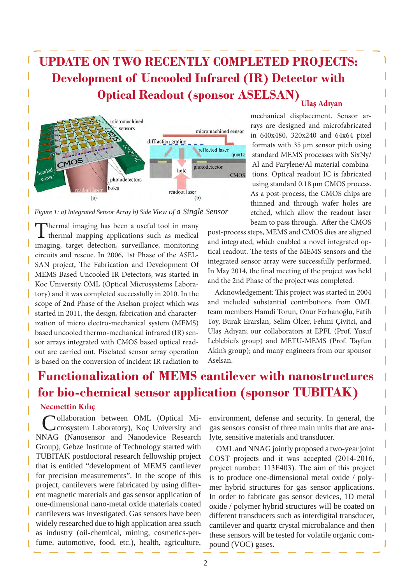### **UPDATE ON TWO RECENTLY COMPLETED PROJECTS: Development of Uncooled Infrared (IR) Detector with Optical Readout (sponsor ASELSAN) Ulaş Adıyan**



*Figure 1: a) Integrated Sensor Array b) Side View of a Single Sensor*

Thermal imaging has been a useful tool in many thermal mapping applications such as medical imaging, target detection, surveillance, monitoring circuits and rescue. In 2006, 1st Phase of the ASEL-SAN project, The Fabrication and Development Of MEMS Based Uncooled IR Detectors, was started in Koc University OML (Optical Microsystems Laboratory) and it was completed successfully in 2010. In the scope of 2nd Phase of the Aselsan project which was started in 2011, the design, fabrication and characterization of micro electro-mechanical system (MEMS) based uncooled thermo-mechanical infrared (IR) sensor arrays integrated with CMOS based optical readout are carried out. Pixelated sensor array operation is based on the conversion of incident IR radiation to

mechanical displacement. Sensor arrays are designed and microfabricated in 640x480, 320x240 and 64x64 pixel formats with 35 µm sensor pitch using standard MEMS processes with SixNy/ Al and Parylene/Al material combinations. Optical readout IC is fabricated using standard 0.18 µm CMOS process. As a post-process, the CMOS chips are thinned and through wafer holes are etched, which allow the readout laser beam to pass through. After the CMOS

post-process steps, MEMS and CMOS dies are aligned and integrated, which enabled a novel integrated optical readout. The tests of the MEMS sensors and the integrated sensor array were successfully performed. In May 2014, the final meeting of the project was held and the 2nd Phase of the project was completed.

Acknowledgement: This project was started in 2004 and included substantial contributions from OML team members Hamdi Torun, Onur Ferhanoğlu, Fatih Toy, Burak Erarslan, Selim Ölcer, Fehmi Çivitci, and Ulaş Adıyan; our collaborators at EPFL (Prof. Yusuf Leblebici's group) and METU-MEMS (Prof. Tayfun Akin's group); and many engineers from our sponsor Aselsan.

### **Functionalization of MEMS cantilever with nanostructures for bio-chemical sensor application (sponsor TUBITAK)**

#### **Necmettin Kılıç**

Collaboration between OML (Optical Microsystem Laboratory), Koç University and NNAG (Nanosensor and Nanodevice Research Group), Gebze Institute of Technology started with TUBITAK postdoctoral research fellowship project that is entitled "development of MEMS cantilever for precision measurements". In the scope of this project, cantilevers were fabricated by using different magnetic materials and gas sensor application of one-dimensional nano-metal oxide materials coated cantilevers was investigated. Gas sensors have been widely researched due to high application area ssuch as industry (oil-chemical, mining, cosmetics-perfume, automotive, food, etc.), health, agriculture,

environment, defense and security. In general, the gas sensors consist of three main units that are analyte, sensitive materials and transducer.

OML and NNAG jointly proposed a two-year joint COST projects and it was accepted (2014-2016, project number: 113F403). The aim of this project is to produce one-dimensional metal oxide / polymer hybrid structures for gas sensor applications. In order to fabricate gas sensor devices, 1D metal oxide / polymer hybrid structures will be coated on different transducers such as interdigital transducer, cantilever and quartz crystal microbalance and then these sensors will be tested for volatile organic compound (VOC) gases.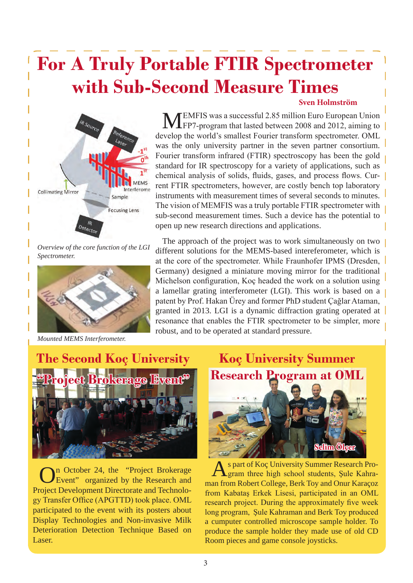## **For A Truly Portable FTIR Spectrometer with Sub-Second Measure Times Sven Holmström**



*Overview of the core function of the LGI Spectrometer.* 



*Mounted MEMS Interferometer.*

MEMFIS was a successful 2.85 million Euro European Union<br>FP7-program that lasted between 2008 and 2012, aiming to develop the world's smallest Fourier transform spectrometer. OML was the only university partner in the seven partner consortium. Fourier transform infrared (FTIR) spectroscopy has been the gold standard for IR spectroscopy for a variety of applications, such as chemical analysis of solids, fluids, gases, and process flows. Current FTIR spectrometers, however, are costly bench top laboratory instruments with measurement times of several seconds to minutes. The vision of MEMFIS was a truly portable FTIR spectrometer with sub-second measurement times. Such a device has the potential to open up new research directions and applications.

The approach of the project was to work simultaneously on two different solutions for the MEMS-based intereferometer, which is at the core of the spectrometer. While Fraunhofer IPMS (Dresden, Germany) designed a miniature moving mirror for the traditional Michelson configuration, Koç headed the work on a solution using a lamellar grating interferometer (LGI). This work is based on a patent by Prof. Hakan Ürey and former PhD student Çağlar Ataman, granted in 2013. LGI is a dynamic diffraction grating operated at resonance that enables the FTIR spectrometer to be simpler, more robust, and to be operated at standard pressure.



On October 24, the "Project Brokerage"<br>Event" organized by the Research and Project Development Directorate and Technology Transfer Office (APGTTD) took place. OML participated to the event with its posters about Display Technologies and Non-invasive Milk Deterioration Detection Technique Based on Laser.



s part of Koç University Summer Research Program three high school students, Şule Kahraman from Robert College, Berk Toy and Onur Karaçoz from Kabataş Erkek Lisesi, participated in an OML research project. During the approximately five week long program, Şule Kahraman and Berk Toy produced a cumputer controlled microscope sample holder. To produce the sample holder they made use of old CD Room pieces and game console joysticks.